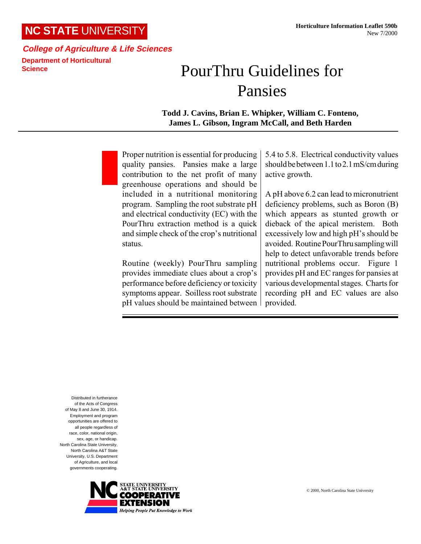## **NC STATE** UNIVERSITY

## **College of Agriculture & Life Sciences Department of Horticultural Science**

## PourThru Guidelines for Pansies

**Todd J. Cavins, Brian E. Whipker, William C. Fonteno, James L. Gibson, Ingram McCall, and Beth Harden**

Proper nutrition is essential for producing quality pansies. Pansies make a large contribution to the net profit of many greenhouse operations and should be included in a nutritional monitoring program. Sampling the root substrate pH and electrical conductivity (EC) with the PourThru extraction method is a quick and simple check of the crop's nutritional status.

Routine (weekly) PourThru sampling provides immediate clues about a crop's performance before deficiency or toxicity symptoms appear. Soilless root substrate pH values should be maintained between 5.4 to 5.8. Electrical conductivity values should be between 1.1 to 2.1 mS/cm during active growth.

A pH above 6.2 can lead to micronutrient deficiency problems, such as Boron (B) which appears as stunted growth or dieback of the apical meristem. Both excessively low and high pH's should be avoided. Routine PourThru sampling will help to detect unfavorable trends before nutritional problems occur. Figure 1 provides pH and EC ranges for pansies at various developmental stages. Charts for recording pH and EC values are also provided.

Distributed in furtherance of the Acts of Congress of May 8 and June 30, 1914. Employment and program opportunities are offered to all people regardless of race, color, national origin, sex, age, or handicap. North Carolina State University, North Carolina A&T State University, U.S. Department of Agriculture, and local governments cooperating.

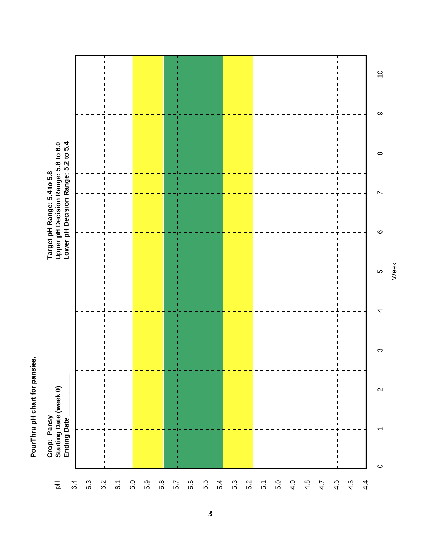PourThru pH chart for pansies. **PourThru pH chart for pansies.**

| $\overline{C}$<br>$\mathbf{\circ}$<br>$\infty$<br>r<br>$\mathbf{\circ}$<br>LO<br>4<br>S<br>$\mathbf{I}$<br>$\mathbf{I}$<br>1<br>$\boldsymbol{\sim}$ | Crop: Pansy<br>Starting Date (week 0) _<br>Ending Date |  | Target pH Range: 5.4 to 5.8<br>Upper pH Decision Range: 5.8 to 6.0<br>Lower pH Decision Range: 5.2 to 5.4 |  |  |
|-----------------------------------------------------------------------------------------------------------------------------------------------------|--------------------------------------------------------|--|-----------------------------------------------------------------------------------------------------------|--|--|
|                                                                                                                                                     |                                                        |  |                                                                                                           |  |  |
|                                                                                                                                                     |                                                        |  |                                                                                                           |  |  |
|                                                                                                                                                     |                                                        |  |                                                                                                           |  |  |
|                                                                                                                                                     |                                                        |  |                                                                                                           |  |  |
|                                                                                                                                                     |                                                        |  |                                                                                                           |  |  |
|                                                                                                                                                     |                                                        |  |                                                                                                           |  |  |
|                                                                                                                                                     |                                                        |  |                                                                                                           |  |  |
|                                                                                                                                                     |                                                        |  |                                                                                                           |  |  |
|                                                                                                                                                     |                                                        |  |                                                                                                           |  |  |
|                                                                                                                                                     |                                                        |  |                                                                                                           |  |  |
|                                                                                                                                                     |                                                        |  |                                                                                                           |  |  |
|                                                                                                                                                     |                                                        |  |                                                                                                           |  |  |
|                                                                                                                                                     |                                                        |  |                                                                                                           |  |  |
|                                                                                                                                                     |                                                        |  |                                                                                                           |  |  |
|                                                                                                                                                     |                                                        |  |                                                                                                           |  |  |
|                                                                                                                                                     |                                                        |  |                                                                                                           |  |  |
|                                                                                                                                                     |                                                        |  |                                                                                                           |  |  |
|                                                                                                                                                     |                                                        |  |                                                                                                           |  |  |
|                                                                                                                                                     |                                                        |  |                                                                                                           |  |  |
|                                                                                                                                                     |                                                        |  |                                                                                                           |  |  |
|                                                                                                                                                     | $\circ$                                                |  |                                                                                                           |  |  |